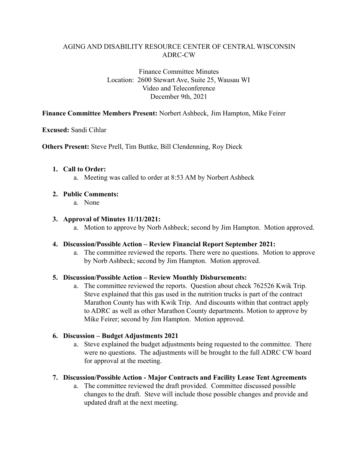## AGING AND DISABILITY RESOURCE CENTER OF CENTRAL WISCONSIN ADRC-CW

## Finance Committee Minutes Location: 2600 Stewart Ave, Suite 25, Wausau WI Video and Teleconference December 9th, 2021

## **Finance Committee Members Present:** Norbert Ashbeck, Jim Hampton, Mike Feirer

#### **Excused:** Sandi Cihlar

**Others Present:** Steve Prell, Tim Buttke, Bill Clendenning, Roy Dieck

## **1. Call to Order:**

a. Meeting was called to order at 8:53 AM by Norbert Ashbeck

## **2. Public Comments:**

a. None

## **3. Approval of Minutes 11/11/2021:**

a. Motion to approve by Norb Ashbeck; second by Jim Hampton. Motion approved.

#### **4. Discussion/Possible Action – Review Financial Report September 2021:**

a. The committee reviewed the reports. There were no questions. Motion to approve by Norb Ashbeck; second by Jim Hampton. Motion approved.

#### **5. Discussion/Possible Action – Review Monthly Disbursements:**

a. The committee reviewed the reports. Question about check 762526 Kwik Trip. Steve explained that this gas used in the nutrition trucks is part of the contract Marathon County has with Kwik Trip. And discounts within that contract apply to ADRC as well as other Marathon County departments. Motion to approve by Mike Feirer; second by Jim Hampton. Motion approved.

#### **6. Discussion – Budget Adjustments 2021**

a. Steve explained the budget adjustments being requested to the committee. There were no questions. The adjustments will be brought to the full ADRC CW board for approval at the meeting.

#### **7. Discussion/Possible Action - Major Contracts and Facility Lease Tent Agreements**

a. The committee reviewed the draft provided. Committee discussed possible changes to the draft. Steve will include those possible changes and provide and updated draft at the next meeting.